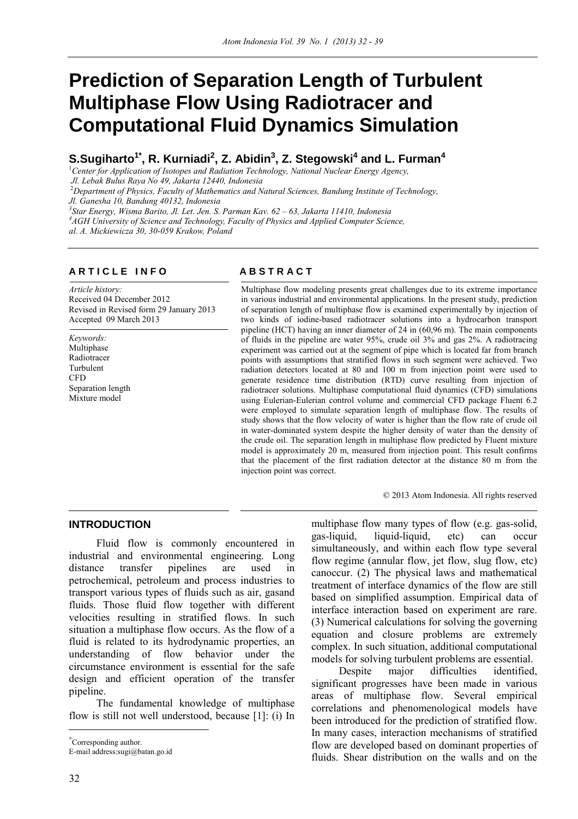# **Prediction of Separation Length of Turbulent Multiphase Flow Using Radiotracer and Computational Fluid Dynamics Simulation**

## $\boldsymbol{\mathsf{S}}.\boldsymbol{\mathsf{S}}$ ugiharto $^{\textsf{T}*}$ , R. Kurniadi $^{\textsf{2}}$ , Z. Abidin $^{\textsf{3}}$ , Z. Stegowski $^{\textsf{4}}$  and L. Furman $^{\textsf{4}}$

<sup>1</sup> Center for Application of Isotopes and Radiation Technology, National Nuclear Energy Agency,

<sup>2</sup>*Department of Physics, Faculty of Mathematics and Natural Sciences, Bandung Institute of Technology,* 

*Jl. Ganesha 10, Bandung 40132, Indonesia 3 Star Energy, Wisma Barito, Jl. Let. Jen. S. Parman Kav. 62 – 63, Jakarta 11410, Indonesia* 

*4 AGH University of Science and Technology, Faculty of Physics and Applied Computer Science,* 

*al. A. Mickiewicza 30, 30-059 Krakow, Poland* 

### **ARTICLE INFO** ABSTRACT

*Article history:*  Received 04 December 2012 Revised in Revised form 29 January 2013 Accepted 09 March 2013

*Keywords:*  Multiphase Radiotracer Turbulent **CFD** Separation length Mixture model

Multiphase flow modeling presents great challenges due to its extreme importance in various industrial and environmental applications. In the present study, prediction of separation length of multiphase flow is examined experimentally by injection of two kinds of iodine-based radiotracer solutions into a hydrocarbon transport pipeline (HCT) having an inner diameter of 24 in (60,96 m). The main components of fluids in the pipeline are water 95%, crude oil 3% and gas 2%. A radiotracing experiment was carried out at the segment of pipe which is located far from branch points with assumptions that stratified flows in such segment were achieved. Two radiation detectors located at 80 and 100 m from injection point were used to generate residence time distribution (RTD) curve resulting from injection of radiotracer solutions. Multiphase computational fluid dynamics (CFD) simulations using Eulerian-Eulerian control volume and commercial CFD package Fluent 6.2 were employed to simulate separation length of multiphase flow. The results of study shows that the flow velocity of water is higher than the flow rate of crude oil in water-dominated system despite the higher density of water than the density of the crude oil. The separation length in multiphase flow predicted by Fluent mixture model is approximately 20 m, measured from injection point. This result confirms that the placement of the first radiation detector at the distance 80 m from the injection point was correct.

© 2013 Atom Indonesia. All rights reserved

#### **INTRODUCTION**<sup>∗</sup>

Fluid flow is commonly encountered in industrial and environmental engineering. Long distance transfer pipelines are used in petrochemical, petroleum and process industries to transport various types of fluids such as air, gasand fluids. Those fluid flow together with different velocities resulting in stratified flows. In such situation a multiphase flow occurs. As the flow of a fluid is related to its hydrodynamic properties, an understanding of flow behavior under the circumstance environment is essential for the safe design and efficient operation of the transfer pipeline.

The fundamental knowledge of multiphase flow is still not well understood, because [1]: (i) In multiphase flow many types of flow (e.g. gas-solid, gas-liquid, liquid-liquid, etc) can occur simultaneously, and within each flow type several flow regime (annular flow, jet flow, slug flow, etc) canoccur. (2) The physical laws and mathematical treatment of interface dynamics of the flow are still based on simplified assumption. Empirical data of interface interaction based on experiment are rare. (3) Numerical calculations for solving the governing equation and closure problems are extremely complex. In such situation, additional computational models for solving turbulent problems are essential.

Despite major difficulties identified, significant progresses have been made in various areas of multiphase flow. Several empirical correlations and phenomenological models have been introduced for the prediction of stratified flow. In many cases, interaction mechanisms of stratified flow are developed based on dominant properties of fluids. Shear distribution on the walls and on the

 $\overline{a}$ 

*Jl. Lebak Bulus Raya No 49, Jakarta 12440, Indonesia* 

<sup>∗</sup> Corresponding author.

E-mail address:sugi@batan.go.id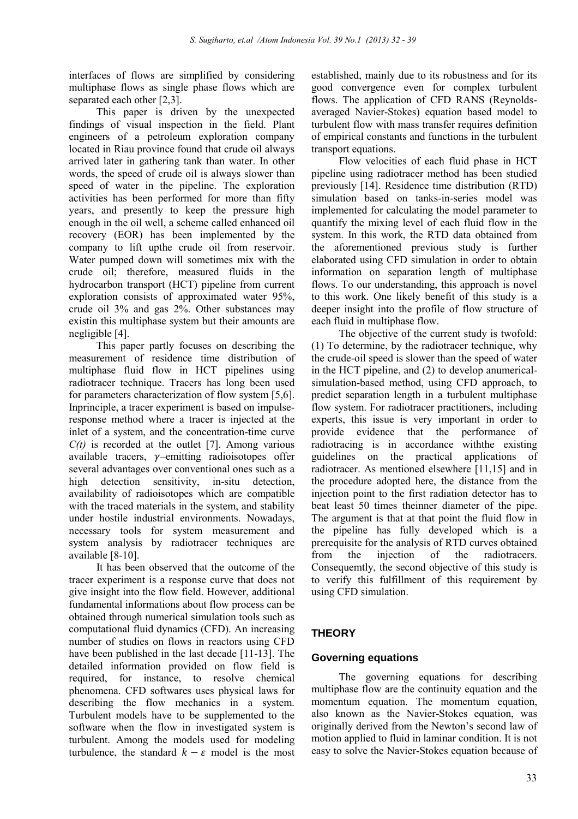interfaces of flows are simplified by considering multiphase flows as single phase flows which are separated each other [2,3].

This paper is driven by the unexpected findings of visual inspection in the field. Plant engineers of a petroleum exploration company located in Riau province found that crude oil always arrived later in gathering tank than water. In other words, the speed of crude oil is always slower than speed of water in the pipeline. The exploration activities has been performed for more than fifty years, and presently to keep the pressure high enough in the oil well, a scheme called enhanced oil recovery (EOR) has been implemented by the company to lift upthe crude oil from reservoir. Water pumped down will sometimes mix with the crude oil; therefore, measured fluids in the hydrocarbon transport (HCT) pipeline from current exploration consists of approximated water 95%, crude oil 3% and gas 2%. Other substances may existin this multiphase system but their amounts are negligible [4].

This paper partly focuses on describing the measurement of residence time distribution of multiphase fluid flow in HCT pipelines using radiotracer technique. Tracers has long been used for parameters characterization of flow system [5,6]. Inprinciple, a tracer experiment is based on impulseresponse method where a tracer is injected at the inlet of a system, and the concentration-time curve *C(t)* is recorded at the outlet [7]. Among various available tracers,  $\gamma$ –emitting radioisotopes offer several advantages over conventional ones such as a high detection sensitivity, in-situ detection, availability of radioisotopes which are compatible with the traced materials in the system, and stability under hostile industrial environments. Nowadays, necessary tools for system measurement and system analysis by radiotracer techniques are available [8-10].

It has been observed that the outcome of the tracer experiment is a response curve that does not give insight into the flow field. However, additional fundamental informations about flow process can be obtained through numerical simulation tools such as computational fluid dynamics (CFD). An increasing number of studies on flows in reactors using CFD have been published in the last decade [11-13]. The detailed information provided on flow field is required, for instance, to resolve chemical phenomena. CFD softwares uses physical laws for describing the flow mechanics in a system. Turbulent models have to be supplemented to the software when the flow in investigated system is turbulent. Among the models used for modeling turbulence, the standard  $k - \varepsilon$  model is the most

established, mainly due to its robustness and for its good convergence even for complex turbulent flows. The application of CFD RANS (Reynoldsaveraged Navier-Stokes) equation based model to turbulent flow with mass transfer requires definition of empirical constants and functions in the turbulent transport equations.

Flow velocities of each fluid phase in HCT pipeline using radiotracer method has been studied previously [14]. Residence time distribution (RTD) simulation based on tanks-in-series model was implemented for calculating the model parameter to quantify the mixing level of each fluid flow in the system. In this work, the RTD data obtained from the aforementioned previous study is further elaborated using CFD simulation in order to obtain information on separation length of multiphase flows. To our understanding, this approach is novel to this work. One likely benefit of this study is a deeper insight into the profile of flow structure of each fluid in multiphase flow.

The objective of the current study is twofold: (1) To determine, by the radiotracer technique, why the crude-oil speed is slower than the speed of water in the HCT pipeline, and (2) to develop anumericalsimulation-based method, using CFD approach, to predict separation length in a turbulent multiphase flow system. For radiotracer practitioners, including experts, this issue is very important in order to provide evidence that the performance of radiotracing is in accordance withthe existing guidelines on the practical applications of radiotracer. As mentioned elsewhere [11,15] and in the procedure adopted here, the distance from the injection point to the first radiation detector has to beat least 50 times theinner diameter of the pipe. The argument is that at that point the fluid flow in the pipeline has fully developed which is a prerequisite for the analysis of RTD curves obtained from the injection of the radiotracers. Consequemtly, the second objective of this study is to verify this fulfillment of this requirement by using CFD simulation.

### **THEORY**

#### **Governing equations**

The governing equations for describing multiphase flow are the continuity equation and the momentum equation. The momentum equation, also known as the Navier-Stokes equation, was originally derived from the Newton's second law of motion applied to fluid in laminar condition. It is not easy to solve the Navier-Stokes equation because of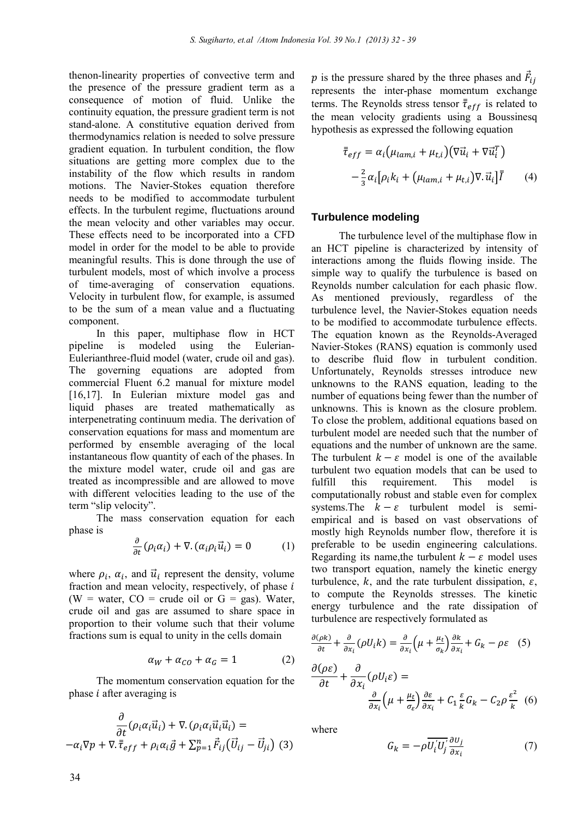thenon-linearity properties of convective term and the presence of the pressure gradient term as a consequence of motion of fluid. Unlike the continuity equation, the pressure gradient term is not stand-alone. A constitutive equation derived from thermodynamics relation is needed to solve pressure gradient equation. In turbulent condition, the flow situations are getting more complex due to the instability of the flow which results in random motions. The Navier-Stokes equation therefore needs to be modified to accommodate turbulent effects. In the turbulent regime, fluctuations around the mean velocity and other variables may occur. These effects need to be incorporated into a CFD model in order for the model to be able to provide meaningful results. This is done through the use of turbulent models, most of which involve a process of time-averaging of conservation equations. Velocity in turbulent flow, for example, is assumed to be the sum of a mean value and a fluctuating component.

In this paper, multiphase flow in HCT pipeline is modeled using the Eulerian-Eulerianthree-fluid model (water, crude oil and gas). The governing equations are adopted from commercial Fluent 6.2 manual for mixture model [16,17]. In Eulerian mixture model gas and liquid phases are treated mathematically as interpenetrating continuum media. The derivation of conservation equations for mass and momentum are performed by ensemble averaging of the local instantaneous flow quantity of each of the phases. In the mixture model water, crude oil and gas are treated as incompressible and are allowed to move with different velocities leading to the use of the term "slip velocity".

The mass conservation equation for each phase is

$$
\frac{\partial}{\partial t}(\rho_i \alpha_i) + \nabla \cdot (\alpha_i \rho_i \vec{u}_i) = 0 \tag{1}
$$

where  $\rho_i$ ,  $\alpha_i$ , and  $\vec{u}_i$  represent the density, volume fraction and mean velocity, respectively, of phase  $i$ (W = water,  $CO$  = crude oil or  $G = gas$ ). Water, crude oil and gas are assumed to share space in proportion to their volume such that their volume fractions sum is equal to unity in the cells domain

$$
\alpha_W + \alpha_{CO} + \alpha_G = 1 \tag{2}
$$

The momentum conservation equation for the phase  $i$  after averaging is

$$
\frac{\partial}{\partial t}(\rho_i \alpha_i \vec{u}_i) + \nabla \cdot (\rho_i \alpha_i \vec{u}_i \vec{u}_i) =
$$
\n
$$
-\alpha_i \nabla p + \nabla \cdot \overline{\overline{\tau}}_{eff} + \rho_i \alpha_i \vec{g} + \sum_{p=1}^n \vec{F}_{ij} (\overrightarrow{U}_{ij} - \overrightarrow{U}_{ji})
$$
\n(3)

p is the pressure shared by the three phases and  $\vec{F}_{ij}$ represents the inter-phase momentum exchange terms. The Reynolds stress tensor  $\bar{\tau}_{eff}$  is related to the mean velocity gradients using a Boussinesq hypothesis as expressed the following equation

$$
\bar{\tau}_{eff} = \alpha_i \left( \mu_{lam,i} + \mu_{t,i} \right) \left( \nabla \vec{u}_i + \nabla \vec{u}_i^T \right)
$$

$$
- \frac{2}{3} \alpha_i \left[ \rho_i k_i + \left( \mu_{lam,i} + \mu_{t,i} \right) \nabla \cdot \vec{u}_i \right] \bar{\vec{l}} \tag{4}
$$

#### **Turbulence modeling**

The turbulence level of the multiphase flow in an HCT pipeline is characterized by intensity of interactions among the fluids flowing inside. The simple way to qualify the turbulence is based on Reynolds number calculation for each phasic flow. As mentioned previously, regardless of the turbulence level, the Navier-Stokes equation needs to be modified to accommodate turbulence effects. The equation known as the Reynolds-Averaged Navier-Stokes (RANS) equation is commonly used to describe fluid flow in turbulent condition. Unfortunately, Reynolds stresses introduce new unknowns to the RANS equation, leading to the number of equations being fewer than the number of unknowns. This is known as the closure problem. To close the problem, additional equations based on turbulent model are needed such that the number of equations and the number of unknown are the same. The turbulent  $k - \varepsilon$  model is one of the available turbulent two equation models that can be used to fulfill this requirement. This model is computationally robust and stable even for complex systems. The  $k - \varepsilon$  turbulent model is semiempirical and is based on vast observations of mostly high Reynolds number flow, therefore it is preferable to be usedin engineering calculations. Regarding its name, the turbulent  $k - \varepsilon$  model uses two transport equation, namely the kinetic energy turbulence, k, and the rate turbulent dissipation,  $\varepsilon$ , to compute the Reynolds stresses. The kinetic energy turbulence and the rate dissipation of turbulence are respectively formulated as

$$
\frac{\partial(\rho k)}{\partial t} + \frac{\partial}{\partial x_i} (\rho U_i k) = \frac{\partial}{\partial x_i} \left( \mu + \frac{\mu_t}{\sigma_k} \right) \frac{\partial k}{\partial x_i} + G_k - \rho \varepsilon \quad (5)
$$

$$
\frac{\partial(\rho \varepsilon)}{\partial t} + \frac{\partial}{\partial x_i} (\rho U_i \varepsilon) =
$$

$$
\frac{\partial}{\partial x_i} \left( \mu + \frac{\mu_t}{\sigma_\varepsilon} \right) \frac{\partial \varepsilon}{\partial x_i} + C_1 \frac{\varepsilon}{k} G_k - C_2 \rho \frac{\varepsilon^2}{k} \quad (6)
$$

 $\ddot{\phantom{1}}$ 

where

$$
G_k = -\rho \overline{U'_i U'_j} \frac{\partial u_j}{\partial x_i} \tag{7}
$$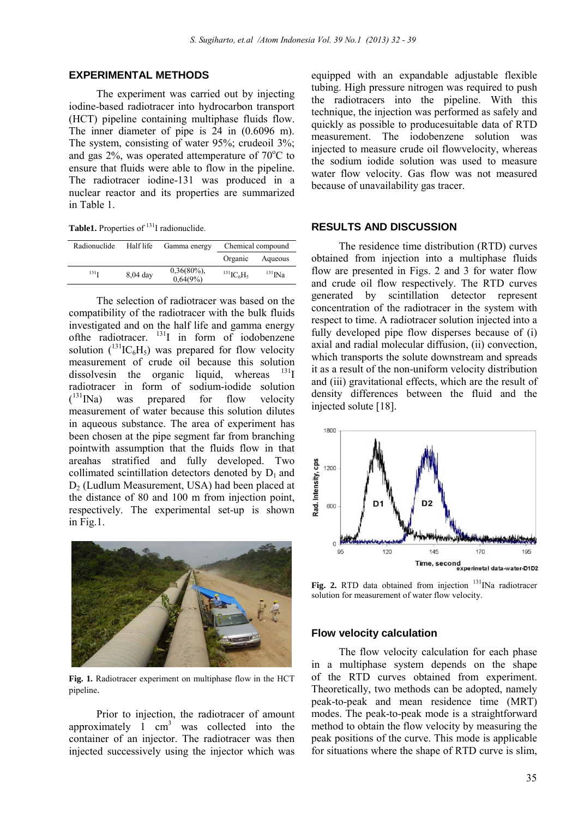#### **EXPERIMENTAL METHODS**

The experiment was carried out by injecting iodine-based radiotracer into hydrocarbon transport (HCT) pipeline containing multiphase fluids flow. The inner diameter of pipe is 24 in (0.6096 m). The system, consisting of water 95%; crudeoil 3%; and gas  $2\%$ , was operated attemperature of  $70^{\circ}$ C to ensure that fluids were able to flow in the pipeline. The radiotracer iodine-131 was produced in a nuclear reactor and its properties are summarized in Table 1.

Table1. Properties of <sup>131</sup>I radionuclide.

| Radionuclide     | Half life  | Gamma energy               | Chemical compound                       |              |
|------------------|------------|----------------------------|-----------------------------------------|--------------|
|                  |            |                            | Organic                                 | Aqueous      |
| 131 <sub>T</sub> | $8,04$ day | $0,36(80\%)$ ,<br>0,64(9%) | $^{131}$ IC <sub>6</sub> H <sub>5</sub> | $^{131}$ INa |

The selection of radiotracer was based on the compatibility of the radiotracer with the bulk fluids investigated and on the half life and gamma energy of the radiotracer.  $^{131}$ I in form of iodobenzene solution  $({}^{131}IC_6H_5)$  was prepared for flow velocity measurement of crude oil because this solution dissolves in the organic liquid, whereas radiotracer in form of sodium-iodide solution  $(131)$  was prepared for flow velocity measurement of water because this solution dilutes in aqueous substance. The area of experiment has been chosen at the pipe segment far from branching pointwith assumption that the fluids flow in that areahas stratified and fully developed. Two collimated scintillation detectors denoted by  $D_1$  and D<sub>2</sub> (Ludlum Measurement, USA) had been placed at the distance of 80 and 100 m from injection point, respectively. The experimental set-up is shown in Fig.1.



**Fig. 1.** Radiotracer experiment on multiphase flow in the HCT pipeline.

Prior to injection, the radiotracer of amount approximately  $1 \text{ cm}^3$  was collected into the container of an injector. The radiotracer was then injected successively using the injector which was

equipped with an expandable adjustable flexible tubing. High pressure nitrogen was required to push the radiotracers into the pipeline. With this technique, the injection was performed as safely and quickly as possible to producesuitable data of RTD measurement. The iodobenzene solution was injected to measure crude oil flowvelocity, whereas the sodium iodide solution was used to measure water flow velocity. Gas flow was not measured because of unavailability gas tracer.

#### **RESULTS AND DISCUSSION**

The residence time distribution (RTD) curves obtained from injection into a multiphase fluids flow are presented in Figs. 2 and 3 for water flow and crude oil flow respectively. The RTD curves generated by scintillation detector represent concentration of the radiotracer in the system with respect to time. A radiotracer solution injected into a fully developed pipe flow disperses because of (i) axial and radial molecular diffusion, (ii) convection, which transports the solute downstream and spreads it as a result of the non-uniform velocity distribution and (iii) gravitational effects, which are the result of density differences between the fluid and the injected solute [18].



Fig. 2. RTD data obtained from injection <sup>131</sup>INa radiotracer solution for measurement of water flow velocity.

#### **Flow velocity calculation**

The flow velocity calculation for each phase in a multiphase system depends on the shape of the RTD curves obtained from experiment. Theoretically, two methods can be adopted, namely peak-to-peak and mean residence time (MRT) modes. The peak-to-peak mode is a straightforward method to obtain the flow velocity by measuring the peak positions of the curve. This mode is applicable for situations where the shape of RTD curve is slim,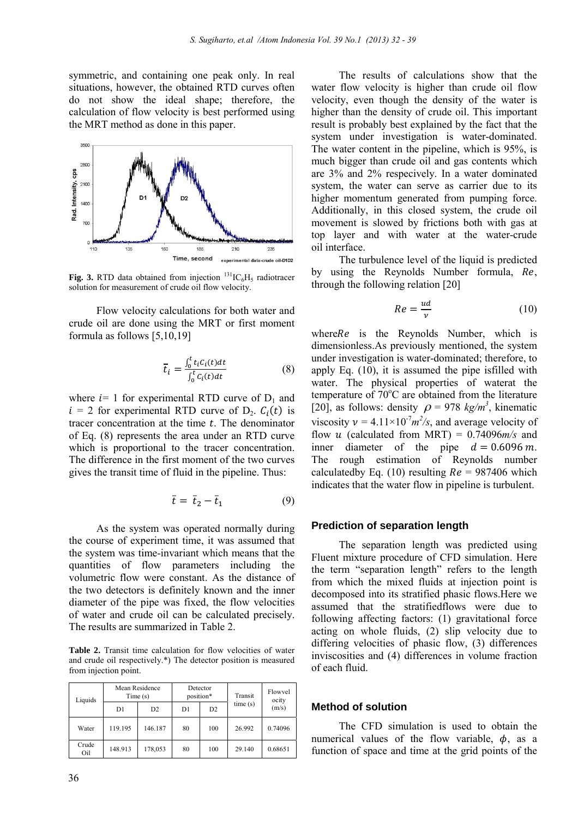symmetric, and containing one peak only. In real situations, however, the obtained RTD curves often do not show the ideal shape; therefore, the calculation of flow velocity is best performed using the MRT method as done in this paper.



**Fig. 3.** RTD data obtained from injection  $^{131}IC_6H_5$  radiotracer solution for measurement of crude oil flow velocity.

Flow velocity calculations for both water and crude oil are done using the MRT or first moment formula as follows [5,10,19]

$$
\overline{t}_i = \frac{\int_0^t t_i C_i(t) dt}{\int_0^t C_i(t) dt}
$$
\n(8)

where  $i=1$  for experimental RTD curve of  $D_1$  and  $i = 2$  for experimental RTD curve of D<sub>2</sub>.  $C_i(t)$  is tracer concentration at the time  $t$ . The denominator of Eq. (8) represents the area under an RTD curve which is proportional to the tracer concentration. The difference in the first moment of the two curves gives the transit time of fluid in the pipeline. Thus:

$$
\bar{t} = \bar{t}_2 - \bar{t}_1 \tag{9}
$$

As the system was operated normally during the course of experiment time, it was assumed that the system was time-invariant which means that the quantities of flow parameters including the volumetric flow were constant. As the distance of the two detectors is definitely known and the inner diameter of the pipe was fixed, the flow velocities of water and crude oil can be calculated precisely. The results are summarized in Table 2.

**Table 2.** Transit time calculation for flow velocities of water and crude oil respectively.\*) The detector position is measured from injection point.

| Liquids      | Mean Residence<br>Time(s) |         | Detector<br>position* |     | Transit | Flowvel<br>ocity |
|--------------|---------------------------|---------|-----------------------|-----|---------|------------------|
|              | D1                        | D2      | D1                    | D2  | time(s) | (m/s)            |
| Water        | 119.195                   | 146.187 | 80                    | 100 | 26.992  | 0.74096          |
| Crude<br>Oil | 148.913                   | 178,053 | 80                    | 100 | 29.140  | 0.68651          |

The results of calculations show that the water flow velocity is higher than crude oil flow velocity, even though the density of the water is higher than the density of crude oil. This important result is probably best explained by the fact that the system under investigation is water-dominated. The water content in the pipeline, which is 95%, is much bigger than crude oil and gas contents which are 3% and 2% respecively. In a water dominated system, the water can serve as carrier due to its higher momentum generated from pumping force. Additionally, in this closed system, the crude oil movement is slowed by frictions both with gas at top layer and with water at the water-crude oil interface.

The turbulence level of the liquid is predicted by using the Reynolds Number formula, Re, through the following relation [20]

$$
Re = \frac{ud}{v} \tag{10}
$$

where $Re$  is the Reynolds Number, which is dimensionless.As previously mentioned, the system under investigation is water-dominated; therefore, to apply Eq. (10), it is assumed the pipe isfilled with water. The physical properties of waterat the temperature of  $70^{\circ}$ C are obtained from the literature [20], as follows: density  $\rho = 978 \text{ kg/m}^3$ , kinematic viscosity  $\nu = 4.11 \times 10^{-7} m^2/s$ , and average velocity of flow u (calculated from MRT) =  $0.74096m/s$  and inner diameter of the pipe  $d = 0.6096$  *m*. The rough estimation of Reynolds number calculatedby Eq. (10) resulting  $Re = 987406$  which indicates that the water flow in pipeline is turbulent.

#### **Prediction of separation length**

The separation length was predicted using Fluent mixture procedure of CFD simulation. Here the term "separation length" refers to the length from which the mixed fluids at injection point is decomposed into its stratified phasic flows.Here we assumed that the stratifiedflows were due to following affecting factors: (1) gravitational force acting on whole fluids, (2) slip velocity due to differing velocities of phasic flow, (3) differences inviscosities and (4) differences in volume fraction of each fluid.

#### **Method of solution**

The CFD simulation is used to obtain the numerical values of the flow variable,  $\phi$ , as a function of space and time at the grid points of the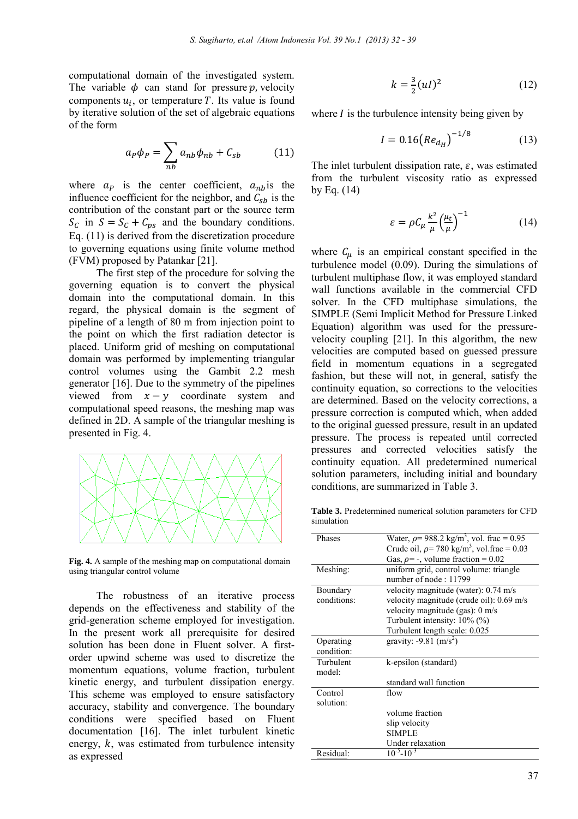computational domain of the investigated system. The variable  $\phi$  can stand for pressure p, velocity components  $u_i$ , or temperature T. Its value is found by iterative solution of the set of algebraic equations of the form

$$
a_P \phi_P = \sum_{nb} a_{nb} \phi_{nb} + C_{sb} \tag{11}
$$

where  $a_p$  is the center coefficient,  $a_{nb}$  is the influence coefficient for the neighbor, and  $C_{sb}$  is the contribution of the constant part or the source term  $S_c$  in  $S = S_c + C_{ps}$  and the boundary conditions. Eq. (11) is derived from the discretization procedure to governing equations using finite volume method (FVM) proposed by Patankar [21].

The first step of the procedure for solving the governing equation is to convert the physical domain into the computational domain. In this regard, the physical domain is the segment of pipeline of a length of 80 m from injection point to the point on which the first radiation detector is placed. Uniform grid of meshing on computational domain was performed by implementing triangular control volumes using the Gambit 2.2 mesh generator [16]. Due to the symmetry of the pipelines viewed from  $x - y$  coordinate system and computational speed reasons, the meshing map was defined in 2D. A sample of the triangular meshing is presented in Fig. 4.



**Fig. 4.** A sample of the meshing map on computational domain using triangular control volume

The robustness of an iterative process depends on the effectiveness and stability of the grid-generation scheme employed for investigation. In the present work all prerequisite for desired solution has been done in Fluent solver. A firstorder upwind scheme was used to discretize the momentum equations, volume fraction, turbulent kinetic energy, and turbulent dissipation energy. This scheme was employed to ensure satisfactory accuracy, stability and convergence. The boundary conditions were specified based on Fluent documentation [16]. The inlet turbulent kinetic energy,  $k$ , was estimated from turbulence intensity as expressed

$$
k = \frac{3}{2}(uI)^2
$$
 (12)

where  $I$  is the turbulence intensity being given by

$$
I = 0.16 \left( Re_{d_H} \right)^{-1/8} \tag{13}
$$

The inlet turbulent dissipation rate,  $\varepsilon$ , was estimated from the turbulent viscosity ratio as expressed by Eq. (14)

$$
\varepsilon = \rho C_{\mu} \frac{k^2}{\mu} \left(\frac{\mu_t}{\mu}\right)^{-1} \tag{14}
$$

where  $C_{\mu}$  is an empirical constant specified in the turbulence model (0.09). During the simulations of turbulent multiphase flow, it was employed standard wall functions available in the commercial CFD solver. In the CFD multiphase simulations, the SIMPLE (Semi Implicit Method for Pressure Linked Equation) algorithm was used for the pressurevelocity coupling [21]. In this algorithm, the new velocities are computed based on guessed pressure field in momentum equations in a segregated fashion, but these will not, in general, satisfy the continuity equation, so corrections to the velocities are determined. Based on the velocity corrections, a pressure correction is computed which, when added to the original guessed pressure, result in an updated pressure. The process is repeated until corrected pressures and corrected velocities satisfy the continuity equation. All predetermined numerical solution parameters, including initial and boundary conditions, are summarized in Table 3.

**Table 3.** Predetermined numerical solution parameters for CFD simulation

| Phases      | Water, $\rho$ = 988.2 kg/m <sup>3</sup> , vol. frac = 0.95  |
|-------------|-------------------------------------------------------------|
|             | Crude oil, $\rho$ = 780 kg/m <sup>3</sup> , vol.frac = 0.03 |
|             | Gas, $\rho$ = -, volume fraction = 0.02                     |
| Meshing:    | uniform grid, control volume: triangle                      |
|             | number of node: 11799                                       |
| Boundary    | velocity magnitude (water): 0.74 m/s                        |
| conditions: | velocity magnitude (crude oil): 0.69 m/s                    |
|             | velocity magnitude (gas): 0 m/s                             |
|             | Turbulent intensity: $10\%$ (%)                             |
|             | Turbulent length scale: 0.025                               |
| Operating   | gravity: $-9.81$ (m/s <sup>2</sup> )                        |
| condition:  |                                                             |
| Turbulent   | k-epsilon (standard)                                        |
| model:      |                                                             |
|             | standard wall function                                      |
| Control     | flow                                                        |
| solution:   |                                                             |
|             | volume fraction                                             |
|             | slip velocity                                               |
|             | <b>SIMPLE</b>                                               |
|             | Under relaxation                                            |
| Residual:   | $10^{-5} - 10^{-3}$                                         |
|             |                                                             |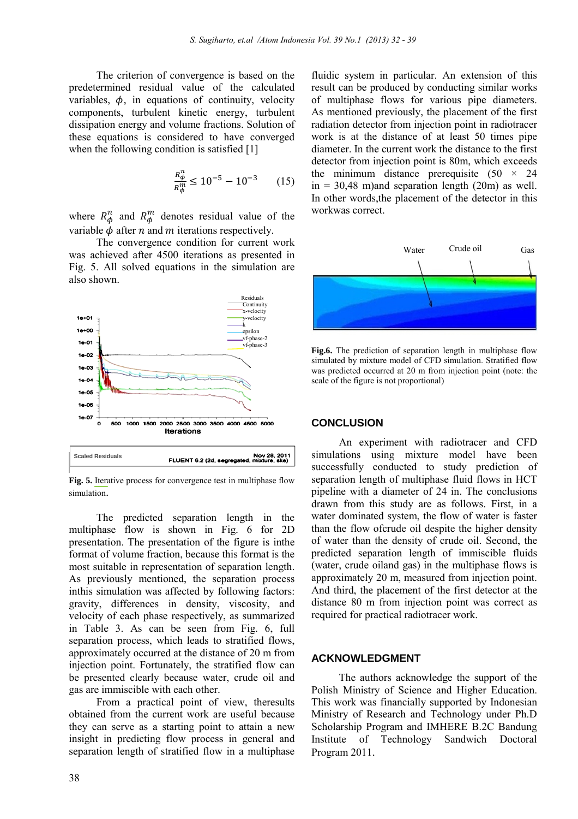The criterion of convergence is based on the predetermined residual value of the calculated variables,  $\phi$ , in equations of continuity, velocity components, turbulent kinetic energy, turbulent dissipation energy and volume fractions. Solution of these equations is considered to have converged when the following condition is satisfied [1]

$$
\frac{R_{\phi}^{n}}{R_{\phi}^{m}} \le 10^{-5} - 10^{-3} \qquad (15)
$$

where  $R_{\phi}^{n}$  and  $R_{\phi}^{m}$  denotes residual value of the variable  $\phi$  after *n* and *m* iterations respectively.

The convergence condition for current work was achieved after 4500 iterations as presented in Fig. 5. All solved equations in the simulation are also shown.



**Fig. 5.** Iterative process for convergence test in multiphase flow simulation.

The predicted separation length in the multiphase flow is shown in Fig. 6 for 2D presentation. The presentation of the figure is inthe format of volume fraction, because this format is the most suitable in representation of separation length. As previously mentioned, the separation process inthis simulation was affected by following factors: gravity, differences in density, viscosity, and velocity of each phase respectively, as summarized in Table 3. As can be seen from Fig. 6, full separation process, which leads to stratified flows, approximately occurred at the distance of 20 m from injection point. Fortunately, the stratified flow can be presented clearly because water, crude oil and gas are immiscible with each other.

From a practical point of view, theresults obtained from the current work are useful because they can serve as a starting point to attain a new insight in predicting flow process in general and separation length of stratified flow in a multiphase

fluidic system in particular. An extension of this result can be produced by conducting similar works of multiphase flows for various pipe diameters. As mentioned previously, the placement of the first radiation detector from injection point in radiotracer work is at the distance of at least 50 times pipe diameter. In the current work the distance to the first detector from injection point is 80m, which exceeds the minimum distance prerequisite  $(50 \times 24)$  $in = 30,48$  m)and separation length (20m) as well. In other words,the placement of the detector in this workwas correct.



**Fig.6.** The prediction of separation length in multiphase flow simulated by mixture model of CFD simulation. Stratified flow was predicted occurred at 20 m from injection point (note: the scale of the figure is not proportional)

#### **CONCLUSION**

An experiment with radiotracer and CFD simulations using mixture model have been successfully conducted to study prediction of separation length of multiphase fluid flows in HCT pipeline with a diameter of 24 in. The conclusions drawn from this study are as follows. First, in a water dominated system, the flow of water is faster than the flow ofcrude oil despite the higher density of water than the density of crude oil. Second, the predicted separation length of immiscible fluids (water, crude oiland gas) in the multiphase flows is approximately 20 m, measured from injection point. And third, the placement of the first detector at the distance 80 m from injection point was correct as required for practical radiotracer work.

#### **ACKNOWLEDGMENT**

The authors acknowledge the support of the Polish Ministry of Science and Higher Education. This work was financially supported by Indonesian Ministry of Research and Technology under Ph.D Scholarship Program and IMHERE B.2C Bandung Institute of Technology Sandwich Doctoral Program 2011.